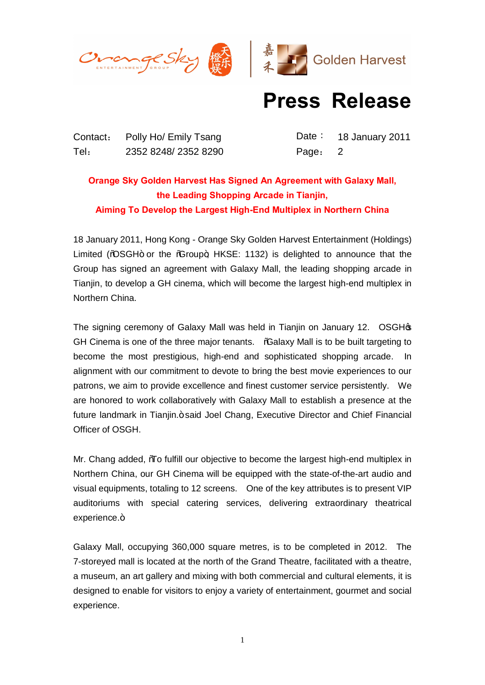



## **Press Release**

Contact: Polly Ho/ Emily Tsang Date: 18 January 2011 Tel: 2352 8248/ 2352 8290 Page: 2

## **Orange Sky Golden Harvest Has Signed An Agreement with Galaxy Mall, the Leading Shopping Arcade in Tianjin, Aiming To Develop the Largest High-End Multiplex in Northern China**

18 January 2011, Hong Kong - Orange Sky Golden Harvest Entertainment (Holdings) Limited ( $\%$ SGH+ or the  $\%$ roup+; HKSE: 1132) is delighted to announce that the Group has signed an agreement with Galaxy Mall, the leading shopping arcade in Tianjin, to develop a GH cinema, which will become the largest high-end multiplex in Northern China.

The signing ceremony of Galaxy Mall was held in Tianjin on January 12. OSGHG GH Cinema is one of the three major tenants. "Galaxy Mall is to be built targeting to become the most prestigious, high-end and sophisticated shopping arcade. In alignment with our commitment to devote to bring the best movie experiences to our patrons, we aim to provide excellence and finest customer service persistently. We are honored to work collaboratively with Galaxy Mall to establish a presence at the future landmark in Tianjin. + said Joel Chang, Executive Director and Chief Financial Officer of OSGH.

Mr. Chang added, "To fulfill our objective to become the largest high-end multiplex in Northern China, our GH Cinema will be equipped with the state-of-the-art audio and visual equipments, totaling to 12 screens. One of the key attributes is to present VIP auditoriums with special catering services, delivering extraordinary theatrical experience.+

Galaxy Mall, occupying 360,000 square metres, is to be completed in 2012. The 7-storeyed mall is located at the north of the Grand Theatre, facilitated with a theatre, a museum, an art gallery and mixing with both commercial and cultural elements, it is designed to enable for visitors to enjoy a variety of entertainment, gourmet and social experience.